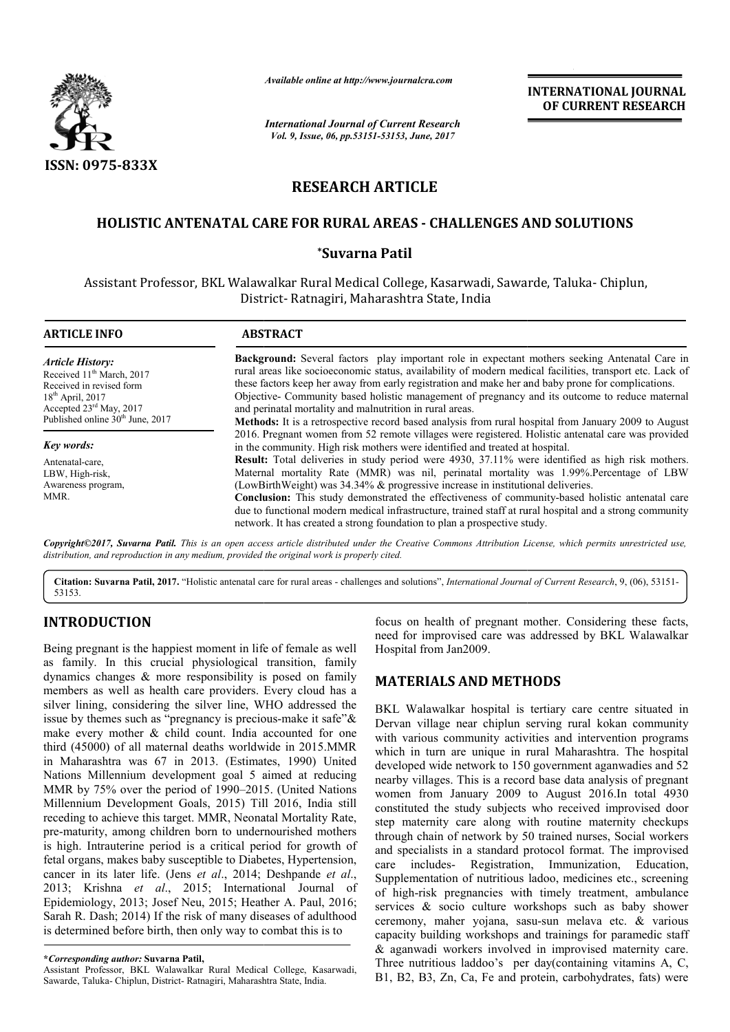

*Available online at http://www.journalcra.com*

*International Journal of Current Research Vol. 9, Issue, 06, pp.53151-53153, June, 2017*

**INTERNATIONAL JOURNAL OF CURRENT RESEARCH** 

# **RESEARCH ARTICLE**

## **HOLISTIC ANTENATAL CARE FOR RURAL AREAS - CHALLENGES AND SOLUTIONS CHALLENGES AND SOLUTIONS**

### **\*Suvarna Patil**

Assistant Professor, BKL Walawalkar Rural Medical College, Kasarwadi, Sawarde, Taluka Taluka- Chiplun, District District- Ratnagiri, Maharashtra State, India

| <b>ARTICLE INFO</b>                                                                                                                           | <b>ABSTRACT</b>                                                                                                                                                                                                                                                                                                                                                                                                                                                                                                                                                                         |  |  |  |  |  |  |
|-----------------------------------------------------------------------------------------------------------------------------------------------|-----------------------------------------------------------------------------------------------------------------------------------------------------------------------------------------------------------------------------------------------------------------------------------------------------------------------------------------------------------------------------------------------------------------------------------------------------------------------------------------------------------------------------------------------------------------------------------------|--|--|--|--|--|--|
| <b>Article History:</b><br>Received 11 <sup>th</sup> March, 2017<br>Received in revised form<br>$18th$ April, 2017<br>Accepted 23rd May, 2017 | Background: Several factors play important role in expectant mothers seeking Antenatal Care in<br>rural areas like socioeconomic status, availability of modern medical facilities, transport etc. Lack of<br>these factors keep her away from early registration and make her and baby prone for complications.<br>Objective- Community based holistic management of pregnancy and its outcome to reduce maternal<br>and perinatal mortality and malnutrition in rural areas.<br>Methods: It is a retrospective record based analysis from rural hospital from January 2009 to August  |  |  |  |  |  |  |
| Published online 30 <sup>th</sup> June, 2017                                                                                                  | 2016. Pregnant women from 52 remote villages were registered. Holistic antenatal care was provided                                                                                                                                                                                                                                                                                                                                                                                                                                                                                      |  |  |  |  |  |  |
| Key words:                                                                                                                                    | in the community. High risk mothers were identified and treated at hospital.                                                                                                                                                                                                                                                                                                                                                                                                                                                                                                            |  |  |  |  |  |  |
| Antenatal-care,<br>LBW, High-risk,<br>Awareness program,<br>MMR.                                                                              | <b>Result:</b> Total deliveries in study period were 4930, 37.11% were identified as high risk mothers.<br>Maternal mortality Rate (MMR) was nil, perinatal mortality was 1.99%. Percentage of LBW<br>(LowBirthWeight) was 34.34% & progressive increase in institutional deliveries.<br><b>Conclusion:</b> This study demonstrated the effectiveness of community-based holistic antenatal care<br>due to functional modern medical infrastructure, trained staff at rural hospital and a strong community<br>network. It has created a strong foundation to plan a prospective study. |  |  |  |  |  |  |

*Copyright©2017, Suvarna Patil. This is an open access article distributed under the Creative Commons Att Attribution License, which ribution permits unrestricted use, distribution, and reproduction in any medium, provided the original work is properly cited.*

Citation: Suvarna Patil, 2017. "Holistic antenatal care for rural areas - challenges and solutions", *International Journal of Current Research*, 9, (06), 53151-53153.

## **INTRODUCTION**

Being pregnant is the happiest moment in life of female as well as family. In this crucial physiological transition, family dynamics changes & more responsibility is posed on family members as well as health care providers. Every cloud has a silver lining, considering the silver line, WHO addressed the issue by themes such as "pregnancy is precious-make it safe" $\&$ make every mother & child count. India accounted for one third (45000) of all maternal deaths worldwide in 2015.MMR in Maharashtra was 67 in 2013. (Estimates, 1990) United Nations Millennium development goal 5 aimed at reducing MMR by 75% over the period of 1990–2015. 2015. (United Nations Millennium Development Goals, 2015) Till 2016, India still receding to achieve this target. MMR, Neonatal Mortality Rate, pre-maturity, among children born to undernourished mothers is high. Intrauterine period is a critical period for growth of fetal organs, makes baby susceptible to Diabet Diabetes, Hypertension, cancer in its later life. (Jens *et al*., 2014; Deshpande *et al*., 2013; Krishna *et al*., 2015; International Journal of Epidemiology, 2013; Josef Neu, 2015; Heather A. Paul, 2016; Sarah R. Dash; 2014) If the risk of many diseases of adulthood is determined before birth, then only way to combat this is to

Assistant Professor, BKL Walawalkar Rural Medical College, Kasarwadi, Sawarde, Taluka- Chiplun, District- Ratnagiri, Maharashtra State, India.

focus on health of pregnant mother. Considering these facts, focus on health of pregnant mother. Considering these facts, need for improvised care was addressed by BKL Walawalkar Hospital from Jan2009.

### **MATERIALS AND METHODS METHODS**

BKL Walawalkar hospital is tertiary care centre situated in Dervan village near chiplun serving rural kokan community with various community activities and intervention programs which in turn are unique in rural Maharashtra. The hospital developed wide network to 150 government aganwadies and 52 nearby villages. This is a record base data analysis of pregnant women from January 2009 to August 2016.In total 4930 constituted the study subjects who received improvised door step maternity care along with routine maternity checkups through chain of network by 50 trained nurses, Social workers through chain of network by 50 trained nurses, Social workers and specialists in a standard protocol format. The improvised care includes- Registration, Immunization, Education, Supplementation of nutritious ladoo, medicines etc., screening of high-risk pregnancies with timely treatment, ambulance services & socio culture workshops such as baby shower of high-risk pregnancies with timely treatment, ambulance<br>services  $\&$  socio culture workshops such as baby shower<br>ceremony, maher yojana, sasu-sun melava etc.  $\&$  various capacity building workshops and trainings for paramedic staff capacity building workshops and trainings for paramedic staff  $\&$  aganwadi workers involved in improvised maternity care. Three nutritious laddoo's per day(containing vitamins A, C, B1, B2, B3, Zn, Ca, Fe and protein, carbohydrates, fats) were BKL Walawalkar hospital is tertiary care centre situated in Dervan village near chiplun serving rural kokan community with various community activities and intervention programs which in turn are unique in rural Maharashtr INTERNATIONAL JOURNAL<br>
OF CURRENT RESEARCH<br>
OF CURRENT RESEARCH<br>
TO CONDICITIONS<br>
And<br>
Alisa Sawarde, Taluka- Chiplun,<br>
ia<br>
expectant mothers exeking Antenatal Care in<br>
codern medical facilities, transport etc. Lack of<br>
an

**<sup>\*</sup>***Corresponding author:* **Suvarna Patil,**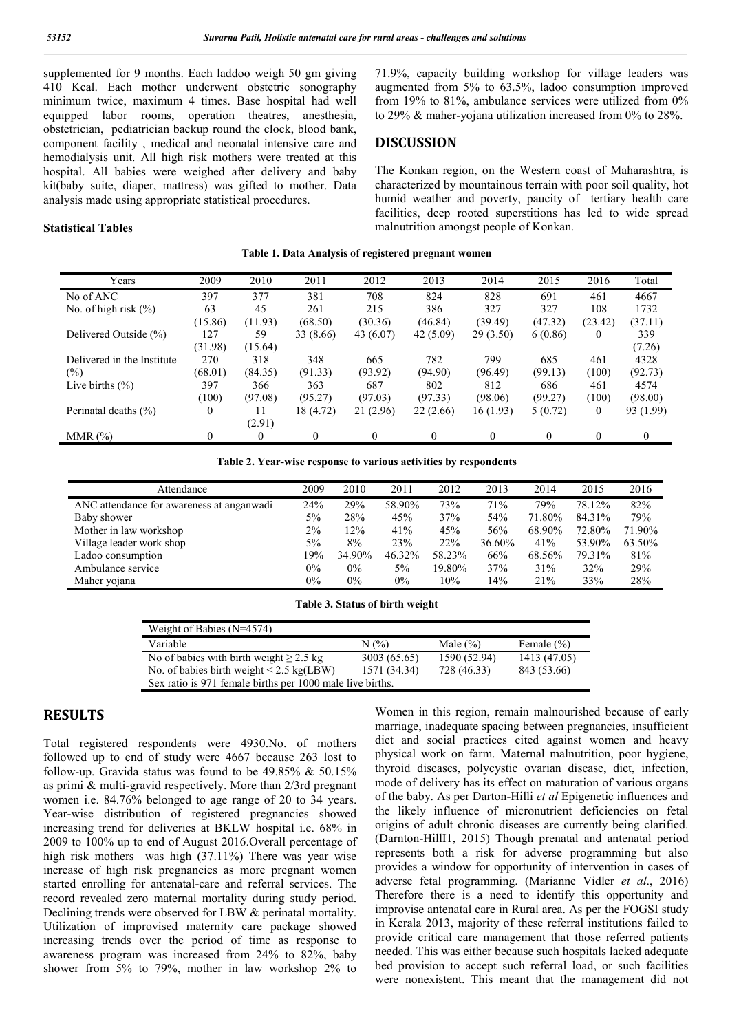supplemented for 9 months. Each laddoo weigh 50 gm giving 410 Kcal. Each mother underwent obstetric sonography minimum twice, maximum 4 times. Base hospital had well equipped labor rooms, operation theatres, anesthesia, obstetrician, pediatrician backup round the clock, blood bank, component facility , medical and neonatal intensive care and hemodialysis unit. All high risk mothers were treated at this hospital. All babies were weighed after delivery and baby kit(baby suite, diaper, mattress) was gifted to mother. Data analysis made using appropriate statistical procedures.

#### **Statistical Tables**

71.9%, capacity building workshop for village leaders was augmented from 5% to 63.5%, ladoo consumption improved from 19% to 81%, ambulance services were utilized from 0% to 29% & maher-yojana utilization increased from 0% to 28%.

### **DISCUSSION**

The Konkan region, on the Western coast of Maharashtra, is characterized by mountainous terrain with poor soil quality, hot humid weather and poverty, paucity of tertiary health care facilities, deep rooted superstitions has led to wide spread malnutrition amongst people of Konkan.

|  | Table 1. Data Analysis of registered pregnant women |
|--|-----------------------------------------------------|
|  |                                                     |

| Years                      | 2009     | 2010     | 2011      | 2012      | 2013      | 2014     | 2015     | 2016         | Total          |
|----------------------------|----------|----------|-----------|-----------|-----------|----------|----------|--------------|----------------|
| No of ANC                  | 397      | 377      | 381       | 708       | 824       | 828      | 691      | 461          | 4667           |
| No. of high risk $(\% )$   | 63       | 45       | 261       | 215       | 386       | 327      | 327      | 108          | 1732           |
|                            | (15.86)  | (11.93)  | (68.50)   | (30.36)   | (46.84)   | (39.49)  | (47.32)  | (23.42)      | (37.11)        |
| Delivered Outside (%)      | 127      | 59       | 33 (8.66) | 43 (6.07) | 42 (5.09) | 29(3.50) | 6(0.86)  | $\theta$     | 339            |
|                            | (31.98)  | (15.64)  |           |           |           |          |          |              | (7.26)         |
| Delivered in the Institute | 270      | 318      | 348       | 665       | 782       | 799      | 685      | 461          | 4328           |
| (%)                        | (68.01)  | (84.35)  | (91.33)   | (93.92)   | (94.90)   | (96.49)  | (99.13)  | (100)        | (92.73)        |
| Live births $(\% )$        | 397      | 366      | 363       | 687       | 802       | 812      | 686      | 461          | 4574           |
|                            | (100)    | (97.08)  | (95.27)   | (97.03)   | (97.33)   | (98.06)  | (99.27)  | (100)        | (98.00)        |
| Perinatal deaths (%)       | $\theta$ | 11       | 18 (4.72) | 21 (2.96) | 22(2.66)  | 16(1.93) | 5(0.72)  | $\mathbf{0}$ | 93 (1.99)      |
|                            |          | (2.91)   |           |           |           |          |          |              |                |
| MMR $(\%)$                 | $\theta$ | $\theta$ | $\theta$  | $\theta$  | $\Omega$  | $\Omega$ | $\theta$ | $\theta$     | $\overline{0}$ |

|  | Table 2. Year-wise response to various activities by respondents |  |  |
|--|------------------------------------------------------------------|--|--|
|  |                                                                  |  |  |

| Attendance                                | 2009  | 2010   | 2011   | 2012   | 2013   | 2014   | 2015   | 2016   |
|-------------------------------------------|-------|--------|--------|--------|--------|--------|--------|--------|
| ANC attendance for awareness at anganwadi | 24%   | 29%    | 58.90% | 73%    | 71%    | 79%    | 78.12% | 82%    |
| Baby shower                               | 5%    | 28%    | 45%    | 37%    | 54%    | 71.80% | 84.31% | 79%    |
| Mother in law workshop                    | $2\%$ | 12%    | 41%    | 45%    | 56%    | 68.90% | 72.80% | 71.90% |
| Village leader work shop                  | 5%    | 8%     | 23%    | 22%    | 36.60% | 41%    | 53.90% | 63.50% |
| Ladoo consumption                         | 19%   | 34.90% | 46.32% | 58.23% | 66%    | 68.56% | 79.31% | 81%    |
| Ambulance service                         | $0\%$ | $0\%$  | $5\%$  | 19.80% | 37%    | 31%    | 32%    | 29%    |
| Maher yojana                              | $0\%$ | $0\%$  | $0\%$  | 10%    | 14%    | 21%    | 33%    | 28%    |

#### **Table 3. Status of birth weight**

| Weight of Babies $(N=4574)$                               |              |              |                |  |  |  |  |
|-----------------------------------------------------------|--------------|--------------|----------------|--|--|--|--|
| Variable                                                  | $N(\%)$      | Male $(\% )$ | Female $(\% )$ |  |  |  |  |
| No of babies with birth weight $\geq 2.5$ kg              | 3003 (65.65) | 1590 (52.94) | 1413 (47.05)   |  |  |  |  |
| No. of babies birth weight $\leq$ 2.5 kg(LBW)             | 1571 (34.34) | 728 (46.33)  | 843 (53.66)    |  |  |  |  |
| Sex ratio is 971 female births per 1000 male live births. |              |              |                |  |  |  |  |

## **RESULTS**

Total registered respondents were 4930.No. of mothers followed up to end of study were 4667 because 263 lost to follow-up. Gravida status was found to be  $49.85\%$  &  $50.15\%$ as primi & multi-gravid respectively. More than 2/3rd pregnant women i.e. 84.76% belonged to age range of 20 to 34 years. Year-wise distribution of registered pregnancies showed increasing trend for deliveries at BKLW hospital i.e. 68% in 2009 to 100% up to end of August 2016.Overall percentage of high risk mothers was high (37.11%) There was year wise increase of high risk pregnancies as more pregnant women started enrolling for antenatal-care and referral services. The record revealed zero maternal mortality during study period. Declining trends were observed for LBW & perinatal mortality. Utilization of improvised maternity care package showed increasing trends over the period of time as response to awareness program was increased from 24% to 82%, baby shower from 5% to 79%, mother in law workshop 2% to

Women in this region, remain malnourished because of early marriage, inadequate spacing between pregnancies, insufficient diet and social practices cited against women and heavy physical work on farm. Maternal malnutrition, poor hygiene, thyroid diseases, polycystic ovarian disease, diet, infection, mode of delivery has its effect on maturation of various organs of the baby. As per Darton-Hilli *et al* Epigenetic influences and the likely influence of micronutrient deficiencies on fetal origins of adult chronic diseases are currently being clarified. (Darnton-HillI1, 2015) Though prenatal and antenatal period represents both a risk for adverse programming but also provides a window for opportunity of intervention in cases of adverse fetal programming. (Marianne Vidler *et al*., 2016) Therefore there is a need to identify this opportunity and improvise antenatal care in Rural area. As per the FOGSI study in Kerala 2013, majority of these referral institutions failed to provide critical care management that those referred patients needed. This was either because such hospitals lacked adequate bed provision to accept such referral load, or such facilities were nonexistent. This meant that the management did not